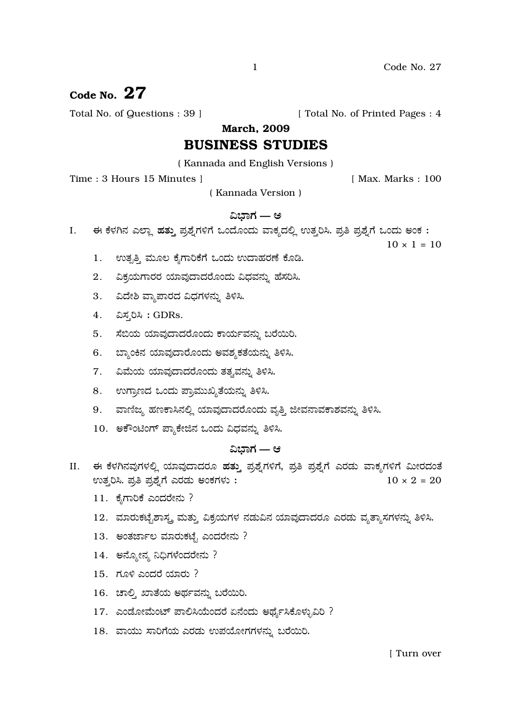# Code No.  $27$

Total No. of Questions: 39 ]

[ Total No. of Printed Pages : 4

**March. 2009** 

# **BUSINESS STUDIES**

(Kannada and English Versions)

Time: 3 Hours 15 Minutes 1

[ Max. Marks: 100

(Kannada Version)

# ವಿಭಾಗ — ಅ

ಈ ಕೆಳಗಿನ ಎಲ್ಲಾ ಹತ್ತು ಪ್ರಶ್ನೆಗಳಿಗೆ ಒಂದೊಂದು ವಾಕ್ಯದಲ್ಲಿ ಉತ್ತರಿಸಿ. ಪ್ರತಿ ಪ್ರಶ್ನೆಗೆ ಒಂದು ಅಂಕ: I.

 $10 \times 1 = 10$ 

- ಉತ್ಪತ್ತಿ ಮೂಲ ಕೈಗಾರಿಕೆಗೆ ಒಂದು ಉದಾಹರಣೆ ಕೊಡಿ. 1.
- $2.$ ವಿಕ್ರಯಗಾರರ ಯಾವುದಾದರೊಂದು ವಿಧವನ್ನು ಹೆಸರಿಸಿ.
- 3. ವಿದೇಶಿ ವ್ಯಾಪಾರದ ವಿಧಗಳನ್ನು ತಿಳಿಸಿ.
- 4. ವಿಸ್ಮರಿಸಿ: GDRs.
- 5. ಸೆಬಿಯ ಯಾವುದಾದರೊಂದು ಕಾರ್ಯವನ್ನು ಬರೆಯಿರಿ.
- 6. ಬ್ಯಾಂಕಿನ ಯಾವುದಾರೊಂದು ಅವಶ್ಯಕತೆಯನ್ನು ತಿಳಿಸಿ.
- 7. ವಿಮೆಯ ಯಾವುದಾದರೊಂದು ತತ್ರವನ್ನು ತಿಳಿಸಿ.
- 8. ಉಗ್ರಾಣದ ಒಂದು ಪ್ರಾಮುಖ್ಯತೆಯನ್ನು ತಿಳಿಸಿ.
- 9. ವಾಣಿಜ್ಯ ಹಣಕಾಸಿನಲ್ಲಿ ಯಾವುದಾದರೊಂದು ವೃತ್ತಿ ಜೀವನಾವಕಾಶವನ್ನು ತಿಳಿಸಿ.
- 10. ಅಕೌಂಟಿಂಗ್ ಪ್ಯಾಕೇಜಿನ ಒಂದು ವಿಧವನ್ನು ತಿಳಿಸಿ.

# ವಿಭಾಗ — ಆ

- ಈ ಕೆಳಗಿನವುಗಳಲ್ಲಿ ಯಾವುದಾದರೂ ಹತ್ತು ಪ್ರಶ್ನೆಗಳಿಗೆ, ಪ್ರತಿ ಪ್ರಶ್ನೆಗೆ ಎರಡು ವಾಕ್ಯಗಳಿಗೆ ಮೀರದಂತೆ II. ಉತ್ತರಿಸಿ. ಪ್ರತಿ ಪ್ರಶ್ನೆಗೆ ಎರಡು ಅಂಕಗಳು:  $10 \times 2 = 20$ 
	- 11. ಕೈಗಾರಿಕೆ ಎಂದರೇನು ?
	- 12. ಮಾರುಕಟೈಶಾಸ್ತ್ರ ಮತ್ತು ವಿಕ್ರಯಗಳ ನಡುವಿನ ಯಾವುದಾದರೂ ಎರಡು ವ್ಯತ್ಯಾಸಗಳನ್ನು ತಿಳಿಸಿ.
	- 13. ಅಂತರ್ಜಾಲ ಮಾರುಕಟ್ಟೆ ಎಂದರೇನು ?
	- 14. ಅನ್ನೋನ್ಯ ನಿಧಿಗಳೆಂದರೇನು ?
	- 15. ಗೂಳಿ ಎಂದರೆ ಯಾರು ?
	- 16. ಚಾಲ್ತಿ ಖಾತೆಯ ಅರ್ಥವನ್ನು ಬರೆಯಿರಿ.
	- 17. ಎಂಡೋಮೆಂಟ್ ಪಾಲಿಸಿಯೆಂದರೆ ಏನೆಂದು ಅರ್ಥೈಸಿಕೊಳ್ಳುವಿರಿ ?
	- 18. ವಾಯು ಸಾರಿಗೆಯ ಎರಡು ಉಪಯೋಗಗಳನ್ನು ಬರೆಯಿರಿ.

 $\mathbf{1}$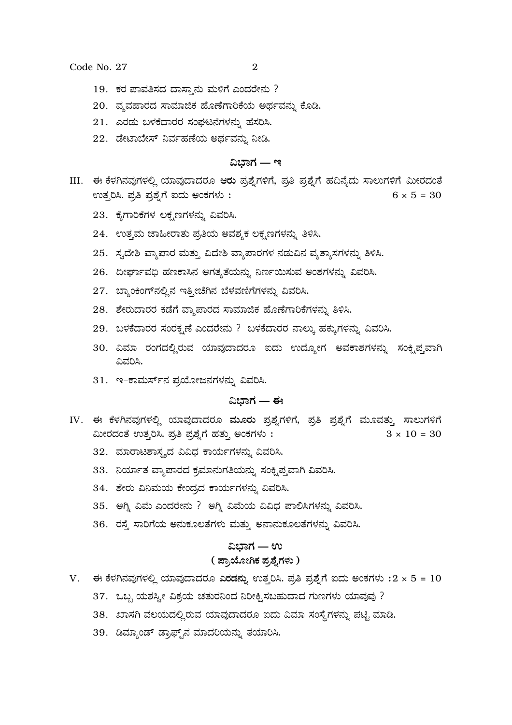Code No. 27

- 19. ಕರ ಪಾವತಿಸದ ದಾಸ್ತಾನು ಮಳಿಗೆ ಎಂದರೇನು ?
- 20. ವ್ಯವಹಾರದ ಸಾಮಾಜಿಕ ಹೊಣೆಗಾರಿಕೆಯ ಅರ್ಥವನ್ನು ಕೊಡಿ.
- 21. ಎರಡು ಬಳಕೆದಾರರ ಸಂಘಟನೆಗಳನ್ನು ಹೆಸರಿಸಿ.
- 22. ಡೇಟಾಬೇಸ್ ನಿರ್ವಹಣೆಯ ಅರ್ಥವನ್ನು ನೀಡಿ.

# ವಿಬಾಗ — ಇ

- III. ಈ ಕೆಳಗಿನವುಗಳಲ್ಲಿ ಯಾವುದಾದರೂ ಆರು ಪ್ರಶ್ನೆಗಳಿಗೆ, ಪ್ರತಿ ಪ್ರಶ್ನೆಗೆ ಹದಿನೈದು ಸಾಲುಗಳಿಗೆ ಮೀರದಂತೆ ಉತ್ತರಿಸಿ. ಪ್ರತಿ ಪ್ರಶ್ನೆಗೆ ಐದು ಅಂಕಗಳು:  $6 \times 5 = 30$ 
	- 23. ಕೈಗಾರಿಕೆಗಳ ಲಕ್ಷಣಗಳನ್ನು ವಿವರಿಸಿ.
	- 24. ಉತ್ತಮ ಜಾಹೀರಾತು ಪ್ರತಿಯ ಅವಶ್ಯಕ ಲಕ್ಷಣಗಳನ್ನು ತಿಳಿಸಿ.
	- 25. ಸ್ಟದೇಶಿ ವ್ಯಾಪಾರ ಮತ್ತು ವಿದೇಶಿ ವ್ಯಾಪಾರಗಳ ನಡುವಿನ ವ್ಯತ್ಯಾಸಗಳನ್ನು ತಿಳಿಸಿ.
	- 26. ದೀರ್ಘಾವಧಿ ಹಣಕಾಸಿನ ಅಗತ್ಯತೆಯನ್ನು ನಿರ್ಣಯಿಸುವ ಅಂಶಗಳನ್ನು ವಿವರಿಸಿ.
	- 27. ಬ್ಯಾಂಕಿಂಗ್ ನಲ್ಲಿನ ಇತ್ತೀಚೆಗಿನ ಬೆಳವಣಿಗೆಗಳನ್ನು ವಿವರಿಸಿ.
	- 28. ಶೇರುದಾರರ ಕಡೆಗೆ ವ್ಯಾಪಾರದ ಸಾಮಾಜಿಕ ಹೊಣೆಗಾರಿಕೆಗಳನ್ನು ತಿಳಿಸಿ.
	- 29. ಬಳಕೆದಾರರ ಸಂರಕ್ಷಣೆ ಎಂದರೇನು ? ಬಳಕೆದಾರರ ನಾಲ್ಕು ಹಕ್ಕುಗಳನ್ನು ವಿವರಿಸಿ.
	- 30. ವಿಮಾ ರಂಗದಲ್ಲಿರುವ ಯಾವುದಾದರೂ ಐದು ಉದ್ಯೋಗ ಅವಕಾಶಗಳನ್ನು ಸಂಕ್ಷಿಪ್ತವಾಗಿ ವಿವರಿಸಿ.
	- 31. ಇ-ಕಾಮರ್ಸ್ನ ಪ್ರಯೋಜನಗಳನ್ನು ವಿವರಿಸಿ.

## ವಿಬಾಗ — ಈ

- IV. ಈ ಕೆಳಗಿನವುಗಳಲ್ಲಿ ಯಾವುದಾದರೂ ಮೂರು ಪ್ರಶ್ನೆಗಳಿಗೆ, ಪ್ರತಿ ಪ್ರಶ್ನೆಗೆ ಮೂವತ್ತು ಸಾಲುಗಳಿಗೆ ಮೀರದಂತೆ ಉತ್ತರಿಸಿ. ಪ್ರತಿ ಪ್ರಶ್ನೆಗೆ ಹತ್ತು ಅಂಕಗಳು:  $3 \times 10 = 30$ 
	- 32. ಮಾರಾಟಶಾಸ್ತ್ರದ ವಿವಿಧ ಕಾರ್ಯಗಳನ್ನು ವಿವರಿಸಿ.
	- 33. ನಿರ್ಯಾತ ವ್ಯಾಪಾರದ ಕ್ರಮಾನುಗತಿಯನ್ನು ಸಂಕ್ಷಿಪ್ತವಾಗಿ ವಿವರಿಸಿ.
	- 34. ಶೇರು ವಿನಿಮಯ ಕೇಂದ್ರದ ಕಾರ್ಯಗಳನ್ನು ವಿವರಿಸಿ.
	- 35. ಅಗ್ನಿ ವಿಮೆ ಎಂದರೇನು ? ಅಗ್ನಿ ವಿಮೆಯ ವಿವಿಧ ಪಾಲಿಸಿಗಳನ್ನು ವಿವರಿಸಿ.
	- 36. ರಸ್ತೆ ಸಾರಿಗೆಯ ಅನುಕೂಲತೆಗಳು ಮತ್ತು ಅನಾನುಕೂಲತೆಗಳನ್ನು ವಿವರಿಸಿ.

# ವಿಭಾಗ — ಉ ( ಪ್ರಾಯೋಗಿಕ ಪ್ರಶ್ನೆಗಳು )

- V. ಈ ಕೆಳಗಿನವುಗಳಲ್ಲಿ ಯಾವುದಾದರೂ ಎರಡನ್ನು ಉತ್ತರಿಸಿ. ಪ್ರತಿ ಪ್ರಶ್ನೆಗೆ ಐದು ಅಂಕಗಳು : $2 \times 5 = 10$ 
	- 37. ಒಬ್ಬ ಯಶಸ್ವೀ ವಿಕ್ರಯ ಚತುರನಿಂದ ನಿರೀಕ್ಷಿಸಬಹುದಾದ ಗುಣಗಳು ಯಾವುವು ?
	- 38. ಖಾಸಗಿ ವಲಯದಲ್ಲಿರುವ ಯಾವುದಾದರೂ ಐದು ವಿಮಾ ಸಂಸ್ಥೆಗಳನ್ನು ಪಟ್ಟಿ ಮಾಡಿ.
	- 39. ಡಿಮ್ಯಾಂಡ್ ಡ್ರಾಫ್ಟ್ ಮಾದರಿಯನ್ನು ತಯಾರಿಸಿ.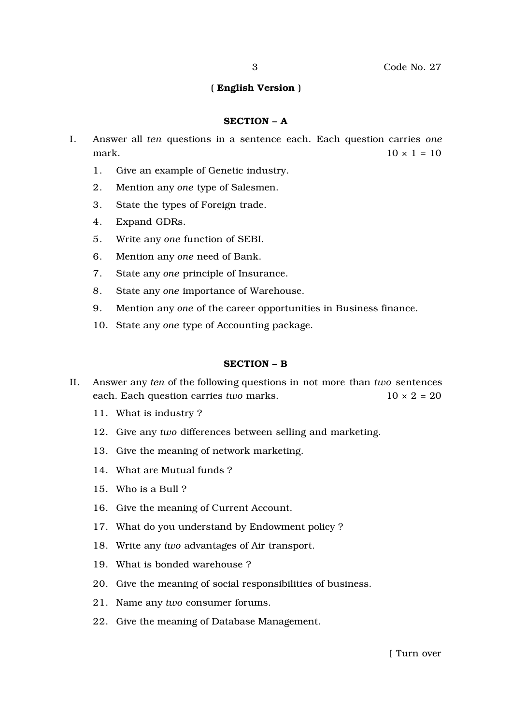## ( English Version )

#### SECTION – A

- I. Answer all *ten* questions in a sentence each. Each question carries *one* mark.  $10 \times 1 = 10$ 
	- 1. Give an example of Genetic industry.
	- 2. Mention any *one* type of Salesmen.
	- 3. State the types of Foreign trade.
	- 4. Expand GDRs.
	- 5. Write any *one* function of SEBI.
	- 6. Mention any *one* need of Bank.
	- 7. State any *one* principle of Insurance.
	- 8. State any *one* importance of Warehouse.
	- 9. Mention any *one* of the career opportunities in Business finance.
	- 10. State any *one* type of Accounting package.

## SECTION – B

- II. Answer any *ten* of the following questions in not more than *two* sentences each. Each question carries *two* marks. 10 × 2 = 20
	- 11. What is industry ?
	- 12. Give any *two* differences between selling and marketing.
	- 13. Give the meaning of network marketing.
	- 14. What are Mutual funds ?
	- 15. Who is a Bull ?
	- 16. Give the meaning of Current Account.
	- 17. What do you understand by Endowment policy ?
	- 18. Write any *two* advantages of Air transport.
	- 19. What is bonded warehouse ?
	- 20. Give the meaning of social responsibilities of business.
	- 21. Name any *two* consumer forums.
	- 22. Give the meaning of Database Management.